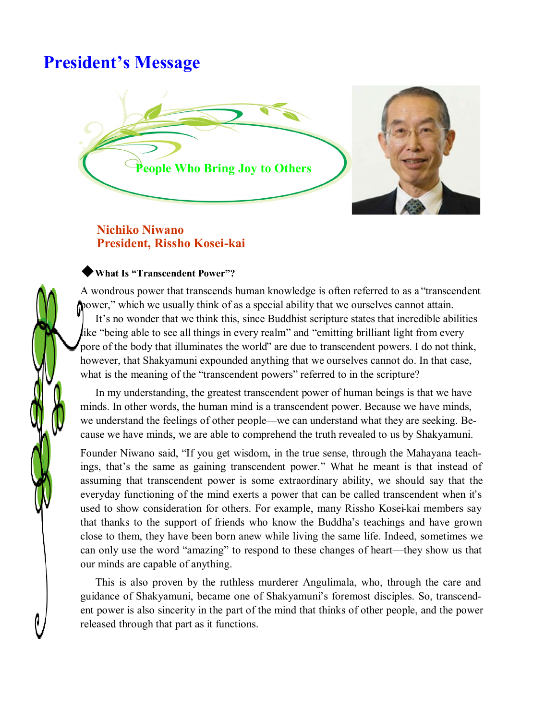# **President's Message**



### **Nichiko Niwano President, Rissho Kosei-kai**

### ◆**What Is "Transcendent Power"?**

A wondrous power that transcends human knowledge is often referred to as a "transcendent power," which we usually think of as a special ability that we ourselves cannot attain. It's no wonder that we think this, since Buddhist scripture states that incredible abilities like "being able to see all things in every realm" and "emitting brilliant light from every pore of the body that illuminates the world" are due to transcendent powers. I do not think, however, that Shakyamuni expounded anything that we ourselves cannot do. In that case, what is the meaning of the "transcendent powers" referred to in the scripture?

In my understanding, the greatest transcendent power of human beings is that we have minds. In other words, the human mind is a transcendent power. Because we have minds, we understand the feelings of other people—we can understand what they are seeking. Because we have minds, we are able to comprehend the truth revealed to us by Shakyamuni.

Founder Niwano said, "If you get wisdom, in the true sense, through the Mahayana teachings, that's the same as gaining transcendent power." What he meant is that instead of assuming that transcendent power is some extraordinary ability, we should say that the everyday functioning of the mind exerts a power that can be called transcendent when it's used to show consideration for others. For example, many Rissho Kosei-kai members say that thanks to the support of friends who know the Buddha's teachings and have grown close to them, they have been born anew while living the same life. Indeed, sometimes we can only use the word "amazing" to respond to these changes of heart—they show us that our minds are capable of anything.

This is also proven by the ruthless murderer Angulimala, who, through the care and guidance of Shakyamuni, became one of Shakyamuni's foremost disciples. So, transcendent power is also sincerity in the part of the mind that thinks of other people, and the power released through that part as it functions.